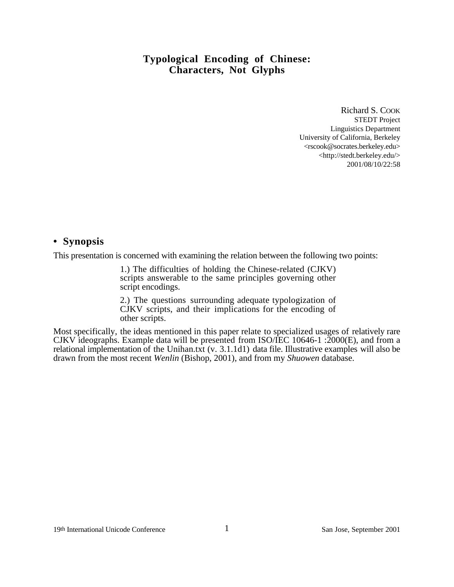Richard S. COOK STEDT Project Linguistics Department University of California, Berkeley <rscook@socrates.berkeley.edu> <http://stedt.berkeley.edu/> 2001/08/10/22:58

#### **• Synopsis**

This presentation is concerned with examining the relation between the following two points:

1.) The difficulties of holding the Chinese-related (CJKV) scripts answerable to the same principles governing other script encodings.

2.) The questions surrounding adequate typologization of CJKV scripts, and their implications for the encoding of other scripts.

Most specifically, the ideas mentioned in this paper relate to specialized usages of relatively rare CJKV ideographs. Example data will be presented from ISO/IEC 10646-1 :2000(E), and from a relational implementation of the Unihan.txt (v. 3.1.1d1) data file. Illustrative examples will also be drawn from the most recent *Wenlin* (Bishop, 2001), and from my *Shuowen* database.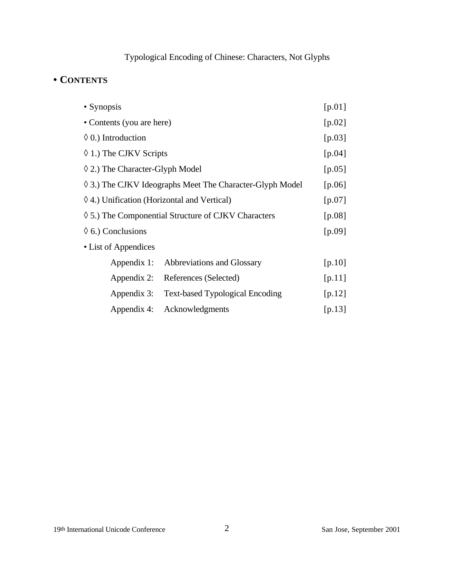# **• CONTENTS**

| • Synopsis                                               |                                        | [ $p.01$ ] |
|----------------------------------------------------------|----------------------------------------|------------|
| • Contents (you are here)                                |                                        | [ $p.02$ ] |
| $\Diamond$ 0.) Introduction                              |                                        | $[p.03]$   |
| ♦ 1.) The CJKV Scripts                                   |                                        | $[p.04]$   |
| 2.) The Character-Glyph Model                            |                                        | [ $p.05$ ] |
| ◊ 3.) The CJKV Ideographs Meet The Character-Glyph Model |                                        | [p. $06$ ] |
| ◊ 4.) Unification (Horizontal and Vertical)              |                                        | $[p.07]$   |
| ◊ 5.) The Componential Structure of CJKV Characters      |                                        | [p.08]     |
| $\Diamond$ 6.) Conclusions                               |                                        | $[p.09]$   |
| • List of Appendices                                     |                                        |            |
| Appendix 1:                                              | Abbreviations and Glossary             | [p.10]     |
| Appendix 2:                                              | References (Selected)                  | [p.11]     |
| Appendix 3:                                              | <b>Text-based Typological Encoding</b> | [ $p.12$ ] |
| Appendix 4:                                              | Acknowledgments                        | [ $p.13$ ] |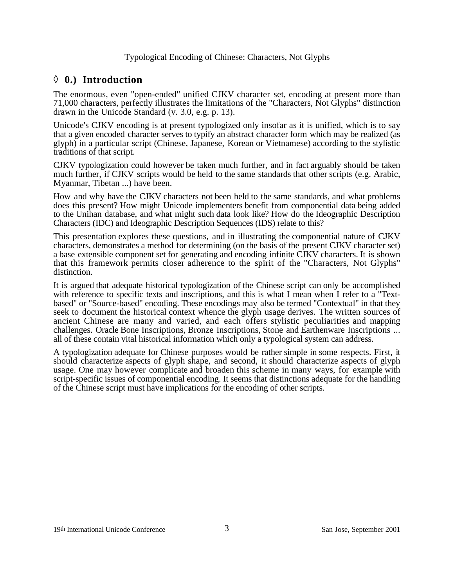# ◊ **0.) Introduction**

The enormous, even "open-ended" unified CJKV character set, encoding at present more than 71,000 characters, perfectly illustrates the limitations of the "Characters, Not Glyphs" distinction drawn in the Unicode Standard (v. 3.0, e.g. p. 13).

Unicode's CJKV encoding is at present typologized only insofar as it is unified, which is to say that a given encoded character serves to typify an abstract character form which may be realized (as glyph) in a particular script (Chinese, Japanese, Korean or Vietnamese) according to the stylistic traditions of that script.

CJKV typologization could however be taken much further, and in fact arguably should be taken much further, if CJKV scripts would be held to the same standards that other scripts (e.g. Arabic, Myanmar, Tibetan ...) have been.

How and why have the CJKV characters not been held to the same standards, and what problems does this present? How might Unicode implementers benefit from componential data being added to the Unihan database, and what might such data look like? How do the Ideographic Description Characters (IDC) and Ideographic Description Sequences (IDS) relate to this?

This presentation explores these questions, and in illustrating the componential nature of CJKV characters, demonstrates a method for determining (on the basis of the present CJKV character set) a base extensible component set for generating and encoding infinite CJKV characters. It is shown that this framework permits closer adherence to the spirit of the "Characters, Not Glyphs" distinction.

It is argued that adequate historical typologization of the Chinese script can only be accomplished with reference to specific texts and inscriptions, and this is what I mean when I refer to a "Textbased" or "Source-based" encoding. These encodings may also be termed "Contextual" in that they seek to document the historical context whence the glyph usage derives. The written sources of ancient Chinese are many and varied, and each offers stylistic peculiarities and mapping challenges. Oracle Bone Inscriptions, Bronze Inscriptions, Stone and Earthenware Inscriptions ... all of these contain vital historical information which only a typological system can address.

A typologization adequate for Chinese purposes would be rather simple in some respects. First, it should characterize aspects of glyph shape, and second, it should characterize aspects of glyph usage. One may however complicate and broaden this scheme in many ways, for example with script-specific issues of componential encoding. It seems that distinctions adequate for the handling of the Chinese script must have implications for the encoding of other scripts.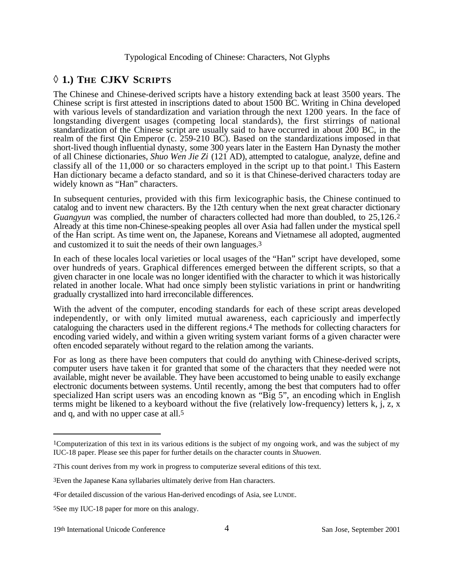## ◊ **1.) THE CJKV SCRIPTS**

The Chinese and Chinese-derived scripts have a history extending back at least 3500 years. The Chinese script is first attested in inscriptions dated to about 1500 BC. Writing in China developed with various levels of standardization and variation through the next 1200 years. In the face of longstanding divergent usages (competing local standards), the first stirrings of national standardization of the Chinese script are usually said to have occurred in about 200 BC, in the realm of the first Qin Emperor (c. 259-210 BC). Based on the standardizations imposed in that short-lived though influential dynasty, some 300 years later in the Eastern Han Dynasty the mother of all Chinese dictionaries, *Shuo Wen Jie Zi* (121 AD), attempted to catalogue, analyze, define and classify all of the 11,000 or so characters employed in the script up to that point.1 This Eastern Han dictionary became a defacto standard, and so it is that Chinese-derived characters today are widely known as "Han" characters.

In subsequent centuries, provided with this firm lexicographic basis, the Chinese continued to catalog and to invent new characters. By the 12th century when the next great character dictionary *Guangyun* was complied, the number of characters collected had more than doubled, to 25,126.2 Already at this time non-Chinese-speaking peoples all over Asia had fallen under the mystical spell of the Han script. As time went on, the Japanese, Koreans and Vietnamese all adopted, augmented and customized it to suit the needs of their own languages.3

In each of these locales local varieties or local usages of the "Han" script have developed, some over hundreds of years. Graphical differences emerged between the different scripts, so that a given character in one locale was no longer identified with the character to which it was historically related in another locale. What had once simply been stylistic variations in print or handwriting gradually crystallized into hard irreconcilable differences.

With the advent of the computer, encoding standards for each of these script areas developed independently, or with only limited mutual awareness, each capriciously and imperfectly cataloguing the characters used in the different regions.4 The methods for collecting characters for encoding varied widely, and within a given writing system variant forms of a given character were often encoded separately without regard to the relation among the variants.

For as long as there have been computers that could do anything with Chinese-derived scripts, computer users have taken it for granted that some of the characters that they needed were not available, might never be available. They have been accustomed to being unable to easily exchange electronic documents between systems. Until recently, among the best that computers had to offer specialized Han script users was an encoding known as "Big 5", an encoding which in English terms might be likened to a keyboard without the five (relatively low-frequency) letters k, j, z, x and q, and with no upper case at all.5

<sup>1</sup>Computerization of this text in its various editions is the subject of my ongoing work, and was the subject of my IUC-18 paper. Please see this paper for further details on the character counts in *Shuowen*.

<sup>2</sup>This count derives from my work in progress to computerize several editions of this text.

<sup>3</sup>Even the Japanese Kana syllabaries ultimately derive from Han characters.

<sup>4</sup>For detailed discussion of the various Han-derived encodings of Asia, see LUNDE.

<sup>5</sup>See my IUC-18 paper for more on this analogy.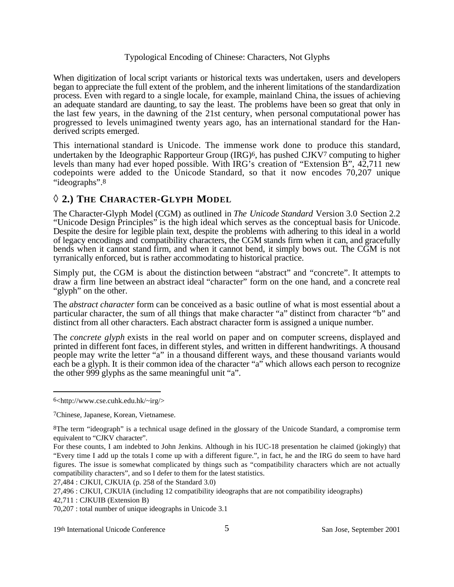When digitization of local script variants or historical texts was undertaken, users and developers began to appreciate the full extent of the problem, and the inherent limitations of the standardization process. Even with regard to a single locale, for example, mainland China, the issues of achieving an adequate standard are daunting, to say the least. The problems have been so great that only in the last few years, in the dawning of the 21st century, when personal computational power has progressed to levels unimagined twenty years ago, has an international standard for the Handerived scripts emerged.

This international standard is Unicode. The immense work done to produce this standard, undertaken by the Ideographic Rapporteur Group (IRG)6, has pushed CJKV7 computing to higher levels than many had ever hoped possible. With IRG's creation of "Extension B", 42,711 new codepoints were added to the Unicode Standard, so that it now encodes 70,207 unique "ideographs".8

## ◊ **2.) THE CHARACTER-GLYPH MODEL**

The Character-Glyph Model (CGM) as outlined in *The Unicode Standard* Version 3.0 Section 2.2 "Unicode Design Principles" is the high ideal which serves as the conceptual basis for Unicode. Despite the desire for legible plain text, despite the problems with adhering to this ideal in a world of legacy encodings and compatibility characters, the CGM stands firm when it can, and gracefully bends when it cannot stand firm, and when it cannot bend, it simply bows out. The CGM is not tyrranically enforced, but is rather accommodating to historical practice.

Simply put, the CGM is about the distinction between "abstract" and "concrete". It attempts to draw a firm line between an abstract ideal "character" form on the one hand, and a concrete real "glyph" on the other.

The *abstract character* form can be conceived as a basic outline of what is most essential about a particular character, the sum of all things that make character "a" distinct from character "b" and distinct from all other characters. Each abstract character form is assigned a unique number.

The *concrete glyph* exists in the real world on paper and on computer screens, displayed and printed in different font faces, in different styles, and written in different handwritings. A thousand people may write the letter "a" in a thousand different ways, and these thousand variants would each be a glyph. It is their common idea of the character "a" which allows each person to recognize the other 999 glyphs as the same meaningful unit "a".

27,484 : CJKUI, CJKUIA (p. 258 of the Standard 3.0)

27,496 : CJKUI, CJKUIA (including 12 compatibility ideographs that are not compatibility ideographs)

42,711 : CJKUIB (Extension B)

<sup>6&</sup>lt;http://www.cse.cuhk.edu.hk/~irg/>

<sup>7</sup>Chinese, Japanese, Korean, Vietnamese.

<sup>8</sup>The term "ideograph" is a technical usage defined in the glossary of the Unicode Standard, a compromise term equivalent to "CJKV character".

For these counts, I am indebted to John Jenkins. Although in his IUC-18 presentation he claimed (jokingly) that "Every time I add up the totals I come up with a different figure.", in fact, he and the IRG do seem to have hard figures. The issue is somewhat complicated by things such as "compatibility characters which are not actually compatibility characters", and so I defer to them for the latest statistics.

<sup>70,207 :</sup> total number of unique ideographs in Unicode 3.1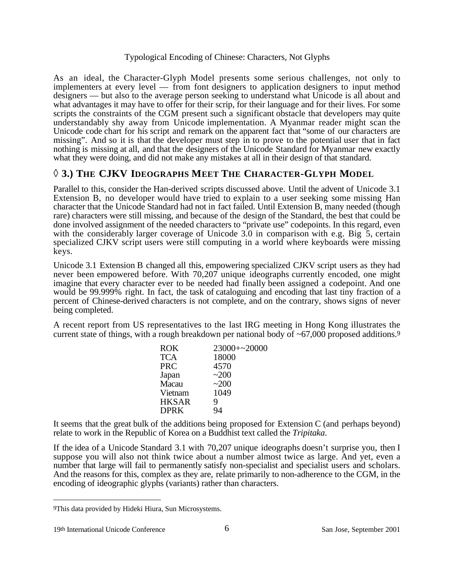As an ideal, the Character-Glyph Model presents some serious challenges, not only to implementers at every level — from font designers to application designers to input method designers — but also to the average person seeking to understand what Unicode is all about and what advantages it may have to offer for their scrip, for their language and for their lives. For some scripts the constraints of the CGM present such a significant obstacle that developers may quite understandably shy away from Unicode implementation. A Myanmar reader might scan the Unicode code chart for his script and remark on the apparent fact that "some of our characters are missing". And so it is that the developer must step in to prove to the potential user that in fact nothing is missing at all, and that the designers of the Unicode Standard for Myanmar new exactly what they were doing, and did not make any mistakes at all in their design of that standard.

## ◊ **3.) THE CJKV IDEOGRAPHS MEET THE CHARACTER-GLYPH MODEL**

Parallel to this, consider the Han-derived scripts discussed above. Until the advent of Unicode 3.1 Extension B, no developer would have tried to explain to a user seeking some missing Han character that the Unicode Standard had not in fact failed. Until Extension B, many needed (though rare) characters were still missing, and because of the design of the Standard, the best that could be done involved assignment of the needed characters to "private use" codepoints. In this regard, even with the considerably larger coverage of Unicode 3.0 in comparison with e.g. Big 5, certain specialized CJKV script users were still computing in a world where keyboards were missing keys.

Unicode 3.1 Extension B changed all this, empowering specialized CJKV script users as they had never been empowered before. With 70,207 unique ideographs currently encoded, one might imagine that every character ever to be needed had finally been assigned a codepoint. And one would be 99.999% right. In fact, the task of cataloguing and encoding that last tiny fraction of a percent of Chinese-derived characters is not complete, and on the contrary, shows signs of never being completed.

A recent report from US representatives to the last IRG meeting in Hong Kong illustrates the current state of things, with a rough breakdown per national body of ~67,000 proposed additions.<sup>9</sup>

| <b>ROK</b>   | $23000 + 20000$ |
|--------------|-----------------|
| <b>TCA</b>   | 18000           |
| <b>PRC</b>   | 4570            |
| Japan        | ~200            |
| Macau        | ~200            |
| Vietnam      | 1049            |
| <b>HKSAR</b> | 9               |
| <b>DPRK</b>  | 94              |
|              |                 |

It seems that the great bulk of the additions being proposed for Extension C (and perhaps beyond) relate to work in the Republic of Korea on a Buddhist text called the *Tripitaka*.

If the idea of a Unicode Standard 3.1 with 70,207 unique ideographs doesn't surprise you, then I suppose you will also not think twice about a number almost twice as large. And yet, even a number that large will fail to permanently satisfy non-specialist and specialist users and scholars. And the reasons for this, complex as they are, relate primarily to non-adherence to the CGM, in the encoding of ideographic glyphs (variants) rather than characters.

<sup>9</sup>This data provided by Hideki Hiura, Sun Microsystems.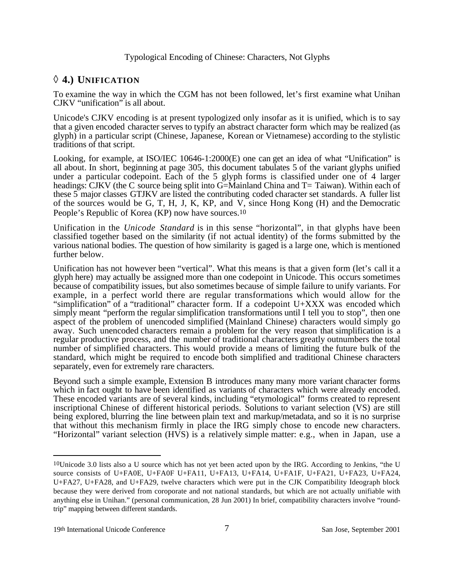## ◊ **4.) UNIFICATION**

To examine the way in which the CGM has not been followed, let's first examine what Unihan CJKV "unification" is all about.

Unicode's CJKV encoding is at present typologized only insofar as it is unified, which is to say that a given encoded character serves to typify an abstract character form which may be realized (as glyph) in a particular script (Chinese, Japanese, Korean or Vietnamese) according to the stylistic traditions of that script.

Looking, for example, at ISO/IEC 10646-1:2000(E) one can get an idea of what "Unification" is all about. In short, beginning at page 305, this document tabulates 5 of the variant glyphs unified under a particular codepoint. Each of the 5 glyph forms is classified under one of 4 larger headings: CJKV (the C source being split into G=Mainland China and T= Taiwan). Within each of these 5 major classes GTJKV are listed the contributing coded character set standards. A fuller list of the sources would be G, T, H, J, K, KP, and V, since Hong Kong (H) and the Democratic People's Republic of Korea (KP) now have sources.10

Unification in the *Unicode Standard* is in this sense "horizontal", in that glyphs have been classified together based on the similarity (if not actual identity) of the forms submitted by the various national bodies. The question of how similarity is gaged is a large one, which is mentioned further below.

Unification has not however been "vertical". What this means is that a given form (let's call it a glyph here) may actually be assigned more than one codepoint in Unicode. This occurs sometimes because of compatibility issues, but also sometimes because of simple failure to unify variants. For example, in a perfect world there are regular transformations which would allow for the "simplification" of a "traditional" character form. If a codepoint U+XXX was encoded which simply meant "perform the regular simplification transformations until I tell you to stop", then one aspect of the problem of unencoded simplified (Mainland Chinese) characters would simply go away. Such unencoded characters remain a problem for the very reason that simplification is a regular productive process, and the number of traditional characters greatly outnumbers the total number of simplified characters. This would provide a means of limiting the future bulk of the standard, which might be required to encode both simplified and traditional Chinese characters separately, even for extremely rare characters.

Beyond such a simple example, Extension B introduces many many more variant character forms which in fact ought to have been identified as variants of characters which were already encoded. These encoded variants are of several kinds, including "etymological" forms created to represent inscriptional Chinese of different historical periods. Solutions to variant selection (VS) are still being explored, blurring the line between plain text and markup/metadata, and so it is no surprise that without this mechanism firmly in place the IRG simply chose to encode new characters. "Horizontal" variant selection (HVS) is a relatively simple matter: e.g., when in Japan, use a

<sup>10</sup>Unicode 3.0 lists also a U source which has not yet been acted upon by the IRG. According to Jenkins, "the U source consists of U+FA0E, U+FA0F U+FA11, U+FA13, U+FA14, U+FA1F, U+FA21, U+FA23, U+FA24, U+FA27, U+FA28, and U+FA29, twelve characters which were put in the CJK Compatibility Ideograph block because they were derived from coroporate and not national standards, but which are not actually unifiable with anything else in Unihan." (personal communication, 28 Jun 2001) In brief, compatibility characters involve "roundtrip" mapping between different standards.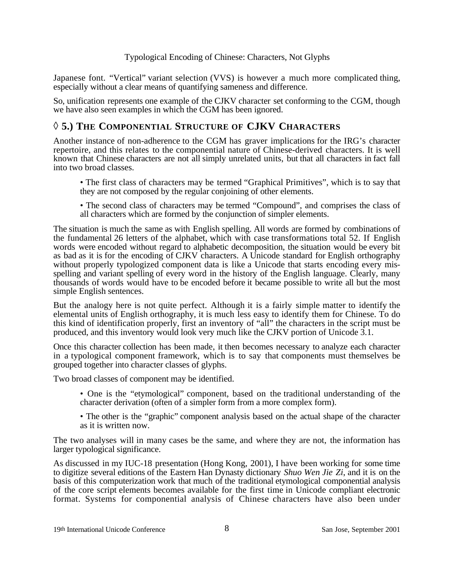Japanese font. "Vertical" variant selection (VVS) is however a much more complicated thing, especially without a clear means of quantifying sameness and difference.

So, unification represents one example of the CJKV character set conforming to the CGM, though we have also seen examples in which the CGM has been ignored.

## ◊ **5.) THE COMPONENTIAL STRUCTURE OF CJKV CHARACTERS**

Another instance of non-adherence to the CGM has graver implications for the IRG's character repertoire, and this relates to the componential nature of Chinese-derived characters. It is well known that Chinese characters are not all simply unrelated units, but that all characters in fact fall into two broad classes.

- The first class of characters may be termed "Graphical Primitives", which is to say that they are not composed by the regular conjoining of other elements.
- The second class of characters may be termed "Compound", and comprises the class of all characters which are formed by the conjunction of simpler elements.

The situation is much the same as with English spelling. All words are formed by combinations of the fundamental 26 letters of the alphabet, which with case transformations total 52. If English words were encoded without regard to alphabetic decomposition, the situation would be every bit as bad as it is for the encoding of CJKV characters. A Unicode standard for English orthography without properly typologized component data is like a Unicode that starts encoding every misspelling and variant spelling of every word in the history of the English language. Clearly, many thousands of words would have to be encoded before it became possible to write all but the most simple English sentences.

But the analogy here is not quite perfect. Although it is a fairly simple matter to identify the elemental units of English orthography, it is much less easy to identify them for Chinese. To do this kind of identification properly, first an inventory of "all" the characters in the script must be produced, and this inventory would look very much like the CJKV portion of Unicode 3.1.

Once this character collection has been made, it then becomes necessary to analyze each character in a typological component framework, which is to say that components must themselves be grouped together into character classes of glyphs.

Two broad classes of component may be identified.

- One is the "etymological" component, based on the traditional understanding of the character derivation (often of a simpler form from a more complex form).
- The other is the "graphic" component analysis based on the actual shape of the character as it is written now.

The two analyses will in many cases be the same, and where they are not, the information has larger typological significance.

As discussed in my IUC-18 presentation (Hong Kong, 2001), I have been working for some time to digitize several editions of the Eastern Han Dynasty dictionary *Shuo Wen Jie Zi*, and it is on the basis of this computerization work that much of the traditional etymological componential analysis of the core script elements becomes available for the first time in Unicode compliant electronic format. Systems for componential analysis of Chinese characters have also been under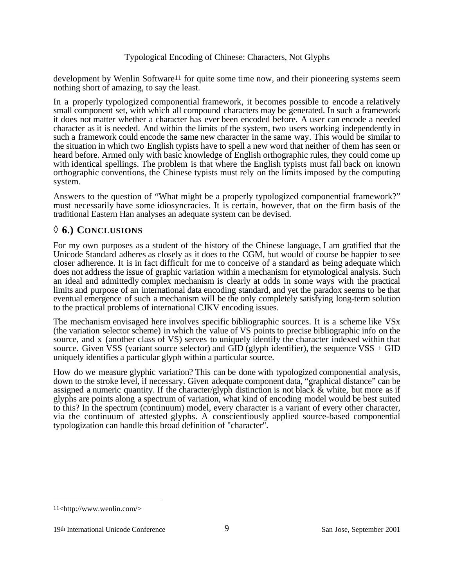development by Wenlin Software11 for quite some time now, and their pioneering systems seem nothing short of amazing, to say the least.

In a properly typologized componential framework, it becomes possible to encode a relatively small component set, with which all compound characters may be generated. In such a framework it does not matter whether a character has ever been encoded before. A user can encode a needed character as it is needed. And within the limits of the system, two users working independently in such a framework could encode the same new character in the same way. This would be similar to the situation in which two English typists have to spell a new word that neither of them has seen or heard before. Armed only with basic knowledge of English orthographic rules, they could come up with identical spellings. The problem is that where the English typists must fall back on known orthographic conventions, the Chinese typists must rely on the limits imposed by the computing system.

Answers to the question of "What might be a properly typologized componential framework?" must necessarily have some idiosyncracies. It is certain, however, that on the firm basis of the traditional Eastern Han analyses an adequate system can be devised.

# ◊ **6.) CONCLUSIONS**

For my own purposes as a student of the history of the Chinese language, I am gratified that the Unicode Standard adheres as closely as it does to the CGM, but would of course be happier to see closer adherence. It is in fact difficult for me to conceive of a standard as being adequate which does not address the issue of graphic variation within a mechanism for etymological analysis. Such an ideal and admittedly complex mechanism is clearly at odds in some ways with the practical limits and purpose of an international data encoding standard, and yet the paradox seems to be that eventual emergence of such a mechanism will be the only completely satisfying long-term solution to the practical problems of international CJKV encoding issues.

The mechanism envisaged here involves specific bibliographic sources. It is a scheme like VSx (the variation selector scheme) in which the value of VS points to precise bibliographic info on the source, and x (another class of VS) serves to uniquely identify the character indexed within that source. Given VSS (variant source selector) and GID (glyph identifier), the sequence VSS + GID uniquely identifies a particular glyph within a particular source.

How do we measure glyphic variation? This can be done with typologized componential analysis, down to the stroke level, if necessary. Given adequate component data, "graphical distance" can be assigned a numeric quantity. If the character/glyph distinction is not black & white, but more as if glyphs are points along a spectrum of variation, what kind of encoding model would be best suited to this? In the spectrum (continuum) model, every character is a variant of every other character, via the continuum of attested glyphs. A conscientiously applied source-based componential typologization can handle this broad definition of "character".

<sup>11&</sup>lt;http://www.wenlin.com/>

<sup>19</sup>th International Unicode Conference 9 San Jose, September 2001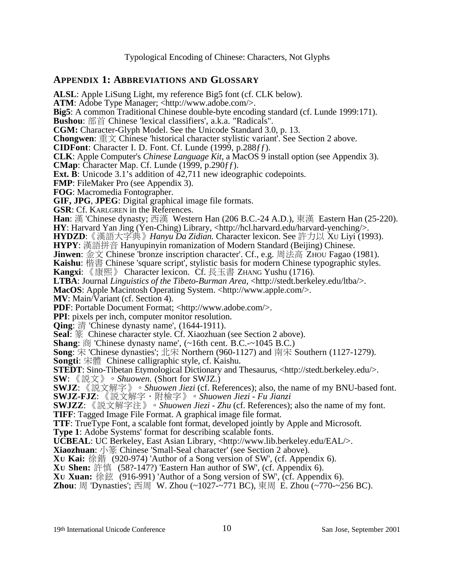## **APPENDIX 1: ABBREVIATIONS AND GLOSSARY**

**ALSL**: Apple LiSung Light, my reference Big5 font (cf. CLK below). **ATM**: Adobe Type Manager; <http://www.adobe.com/>. **Big5**: A common Traditional Chinese double-byte encoding standard (cf. Lunde 1999:171). **Bushou**: 部首 Chinese 'lexical classifiers', a.k.a. "Radicals". **CGM:** Character-Glyph Model. See the Unicode Standard 3.0, p. 13. **Chongwen**:  $\mathbf{\bar{F}} \times \mathbf{C}$  Chinese 'historical character stylistic variant'. See Section 2 above. **CIDFont**: Character I. D. Font. Cf. Lunde (1999, p.288ƒƒ). **CLK**: Apple Computer's *Chinese Language Kit*, a MacOS 9 install option (see Appendix 3). **CMap**: Character Map. Cf. Lunde (1999, p.290ƒƒ). **Ext. B**: Unicode 3.1's addition of 42,711 new ideographic codepoints. **FMP**: FileMaker Pro (see Appendix 3). **FOG**: Macromedia Fontographer. **GIF, JPG**, **JPEG**: Digital graphical image file formats. **GSR**: Cf. KARLGREN in the References. **Han**: 漢 'Chinese dynasty; 西漢 Western Han (206 B.C.-24 A.D.), 東漢 Eastern Han (25-220). **HY**: Harvard Yan Jing (Yen-Ching) Library, <http://hcl.harvard.edu/harvard-yenching/>. **HYDZD**: 《漢語大字典》 *Hanyu Da Zidian*. Character lexicon. See 許力以 Xu Liyi (1993). **HYPY**: 漢語拼音 Hanyupinyin romanization of Modern Standard (Beijing) Chinese. **Jinwen**: 金文 Chinese 'bronze inscription character'. Cf., e.g. 周法高 ZHOU Fagao (1981). **Kaishu:** 楷書 Chinese 'square script', stylistic basis for modern Chinese typographic styles. **Kangxi**: 《康熙》 Character lexicon. Cf. 長玉書 ZHANG Yushu (1716).<br>**LTBA**: Journal *Linguistics of the Tibeto-Burman Area*, <http://stedt.berkeley.edu/ltba/>. **MacOS**: Apple Macintosh Operating System. <http://www.apple.com/>. **MV**: Main/Variant (cf. Section 4). **PDF**: Portable Document Format; <http://www.adobe.com/>. **PPI**: pixels per inch, computer monitor resolution. **Qing**: 清 'Chinese dynasty name', (1644-1911). **Seal**: 篆 Chinese character style. Cf. Xiaozhuan (see Section 2 above). **Shang**:  $\ddot{\text{m}}$  'Chinese dynasty name',  $(\sim 16 \text{th cent. B.C.} - 1045 \text{ B.C.})$ **Song**: 宋 'Chinese dynasties'; 北宋 Northern (960-1127) and 南宋 Southern (1127-1279). **Songti**: 宋體 Chinese calligraphic style, cf. Kaishu. **STEDT**: Sino-Tibetan Etymological Dictionary and Thesaurus, <http://stedt.berkeley.edu/>. **SW**: 《説文》。Shuowen. (Short for SWJZ.) **SWJZ**: 《説文解字》。Shuowen Jiezi (cf. References); also, the name of my BNU-based font. **SWJZ-FJZ**: 《説文解字·附檢字》。Shuowen Jiezi - Fu Jianzi **SWJZZ**: 《説文解字注》。Shuowen Jiezi - Zhu (cf. References); also the name of my font. **TIFF**: Tagged Image File Format. A graphical image file format. **TTF**: TrueType Font, a scalable font format, developed jointly by Apple and Microsoft. **Type 1**: Adobe Systems' format for describing scalable fonts. **UCBEAL**: UC Berkeley, East Asian Library, <http://www.lib.berkeley.edu/EAL/>. **Xiaozhuan**: 小篆 Chinese 'Small-Seal character' (see Section 2 above). **XU Kai:** 徐鍇 (920-974) 'Author of a Song version of SW', (cf. Appendix 6). **XU Shen:** 許慎 (58?-147?) 'Eastern Han author of SW', (cf. Appendix 6). **XU Xuan:** 徐鉉 (916-991) 'Author of a Song version of SW', (cf. Appendix 6).

**Zhou**: 周 'Dynasties'; 西周 W. Zhou (~1027-~771 BC), 東周 E. Zhou (~770-~256 BC).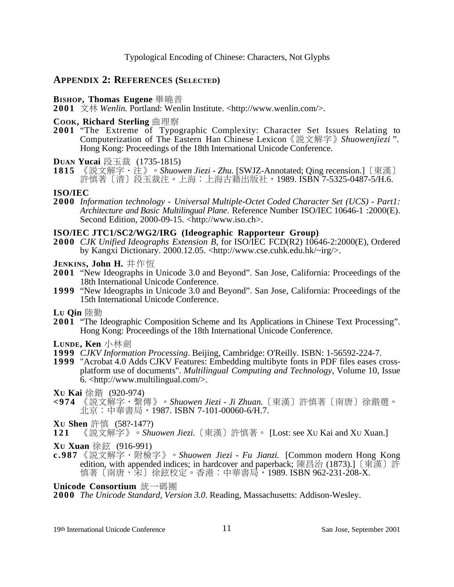#### **APPENDIX 2: REFERENCES (SELECTED)**

- **BISHOP, Thomas Eugene** 畢曉普
- **2001** 文林 Wenlin. Portland: Wenlin Institute. <http://www.wenlin.com/>.
- **COOK, Richard Sterling** 曲理察
- **2001** "The Extreme of Typographic Complexity: Character Set Issues Relating to Computerization of The Eastern Han Chinese Lexicon 《説文解字》 Shuowenjiezi ". Hong Kong: Proceedings of the 18th International Unicode Conference.

**D**UAN **Yucai** 段玉裁 (1735-1815)<br>1815 《説文解字·注》。Shuow

《説文解字·注》。*Shuowen Jiezi - Zhu*. [SWJZ-Annotated; Qing recension.]〔東漢〕 許慎著〔清〕段玉裁注。上海:上海古籍出版社,1989. ISBN 7-5325-0487-5/H.6.

#### **ISO/IEC**

**2000** *Information technology - Universal Multiple-Octet Coded Character Set (UCS) - Part1: Architecture and Basic Multilingual Plane*. Reference Number ISO/IEC 10646-1 :2000(E). Second Edition, 2000-09-15. <http://www.iso.ch>.

#### **ISO/IEC JTC1/SC2/WG2/IRG (Ideographic Rapporteur Group)**

- **2000** *CJK Unified Ideographs Extension B*, for ISO/IEC FCD(R2) 10646-2:2000(E), Ordered by Kangxi Dictionary. 2000.12.05. <http://www.cse.cuhk.edu.hk/~irg/>.
- **JENKINS, John H.** 井作恒
- **2001** "New Ideographs in Unicode 3.0 and Beyond". San Jose, California: Proceedings of the 18th International Unicode Conference.
- **1999** "New Ideographs in Unicode 3.0 and Beyond". San Jose, California: Proceedings of the 15th International Unicode Conference.

Lu **Qin** 陸勤

**2001** "The Ideographic Composition Scheme and Its Applications in Chinese Text Processing". Hong Kong: Proceedings of the 18th International Unicode Conference.

LUNDE. **Ken** 小林劍

- **1999** *CJKV Information Processing*. Beijing, Cambridge: O'Reilly. ISBN: 1-56592-224-7.
- **1999** "Acrobat 4.0 Adds CJKV Features: Embedding multibyte fonts in PDF files eases crossplatform use of documents". *Multilingual Computing and Technology*, Volume 10, Issue 6. <http://www.multilingual.com/>.

**XU Kai** 徐鍇 (920-974)

- **<974** 《説文解字‧繫傳》。Shuowen Jiezi Ji Zhuan.〔東漢〕許慎著〔南唐〕徐鍇選。 北京:中華書局,1987. ISBN 7-101-00060-6/H.7.
- **Xu Shen** 許慎 (58?-147?)<br>121 《説文解字》。Shu
- 《説文解字》。*Shuowen Jiezi.*〔東漢〕許慎著。 [Lost: see Xu Kai and Xu Xuan.]

**Xu Xuan** 徐鉉 (916-991)

**c.987** 《説文解字·附檢字》。Shuowen Jiezi - Fu Jianzi. [Common modern Hong Kong edition, with appended indices; in hardcover and paperback; 陳昌治 (1873).] 〔東漢〕許 慎著〔南唐、宋〕徐鉉校定。香港:中華書局,1989. ISBN 962-231-208-X.

**Unicode Consortium** 統一碼團

**2000** *The Unicode Standard, Version 3.0*. Reading, Massachusetts: Addison-Wesley.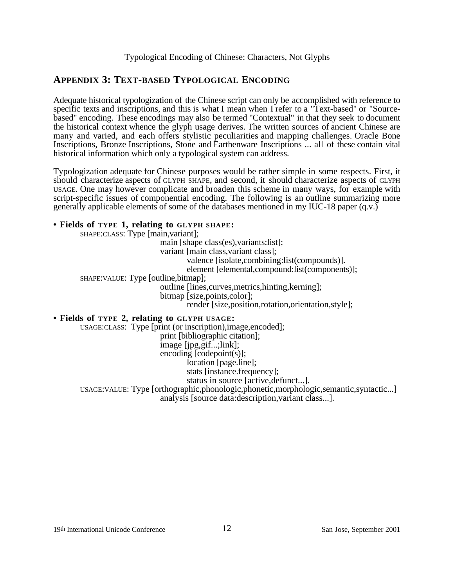# **APPENDIX 3: TEXT-BASED TYPOLOGICAL ENCODING**

Adequate historical typologization of the Chinese script can only be accomplished with reference to specific texts and inscriptions, and this is what I mean when I refer to a "Text-based" or "Sourcebased" encoding. These encodings may also be termed "Contextual" in that they seek to document the historical context whence the glyph usage derives. The written sources of ancient Chinese are many and varied, and each offers stylistic peculiarities and mapping challenges. Oracle Bone Inscriptions, Bronze Inscriptions, Stone and Earthenware Inscriptions ... all of these contain vital historical information which only a typological system can address.

Typologization adequate for Chinese purposes would be rather simple in some respects. First, it should characterize aspects of GLYPH SHAPE, and second, it should characterize aspects of GLYPH USAGE. One may however complicate and broaden this scheme in many ways, for example with script-specific issues of componential encoding. The following is an outline summarizing more generally applicable elements of some of the databases mentioned in my IUC-18 paper (q.v.)

#### **• Fields of TYPE 1, relating to GLYPH SHAPE:**

SHAPE:CLASS: Type [main,variant]; main [shape class(es),variants:list]; variant [main class,variant class]; valence [isolate,combining:list(compounds)]. element [elemental,compound:list(components)]; SHAPE:VALUE: Type [outline,bitmap]; outline [lines,curves,metrics,hinting,kerning]; bitmap [size,points,color]; render [size,position,rotation,orientation,style]; **• Fields of TYPE 2, relating to GLYPH USAGE:** USAGE:CLASS: Type [print (or inscription),image,encoded]; print [bibliographic citation]; image [jpg,gif...;link];

encoding [codepoint(s)]; location [page.line]; stats [instance.frequency]; status in source [active,defunct...]. USAGE:VALUE: Type [orthographic,phonologic,phonetic,morphologic,semantic,syntactic...]

analysis [source data:description,variant class...].